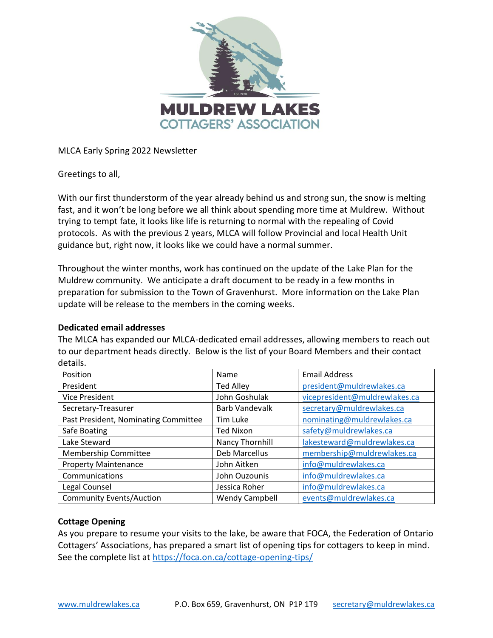

MLCA Early Spring 2022 Newsletter

Greetings to all,

With our first thunderstorm of the year already behind us and strong sun, the snow is melting fast, and it won't be long before we all think about spending more time at Muldrew. Without trying to tempt fate, it looks like life is returning to normal with the repealing of Covid protocols. As with the previous 2 years, MLCA will follow Provincial and local Health Unit guidance but, right now, it looks like we could have a normal summer.

Throughout the winter months, work has continued on the update of the Lake Plan for the Muldrew community. We anticipate a draft document to be ready in a few months in preparation for submission to the Town of Gravenhurst. More information on the Lake Plan update will be release to the members in the coming weeks.

#### **Dedicated email addresses**

The MLCA has expanded our MLCA-dedicated email addresses, allowing members to reach out to our department heads directly. Below is the list of your Board Members and their contact details.

| Position                             | Name                  | <b>Email Address</b>          |
|--------------------------------------|-----------------------|-------------------------------|
| President                            | <b>Ted Alley</b>      | president@muldrewlakes.ca     |
| <b>Vice President</b>                | John Goshulak         | vicepresident@muldrewlakes.ca |
| Secretary-Treasurer                  | <b>Barb Vandevalk</b> | secretary@muldrewlakes.ca     |
| Past President, Nominating Committee | Tim Luke              | nominating@muldrewlakes.ca    |
| Safe Boating                         | <b>Ted Nixon</b>      | safety@muldrewlakes.ca        |
| Lake Steward                         | Nancy Thornhill       | lakesteward@muldrewlakes.ca   |
| Membership Committee                 | Deb Marcellus         | membership@muldrewlakes.ca    |
| <b>Property Maintenance</b>          | John Aitken           | info@muldrewlakes.ca          |
| Communications                       | John Ouzounis         | info@muldrewlakes.ca          |
| Legal Counsel                        | Jessica Roher         | info@muldrewlakes.ca          |
| <b>Community Events/Auction</b>      | <b>Wendy Campbell</b> | events@muldrewlakes.ca        |

## **Cottage Opening**

As you prepare to resume your visits to the lake, be aware that FOCA, the Federation of Ontario Cottagers' Associations, has prepared a smart list of opening tips for cottagers to keep in mind. See the complete list at<https://foca.on.ca/cottage-opening-tips/>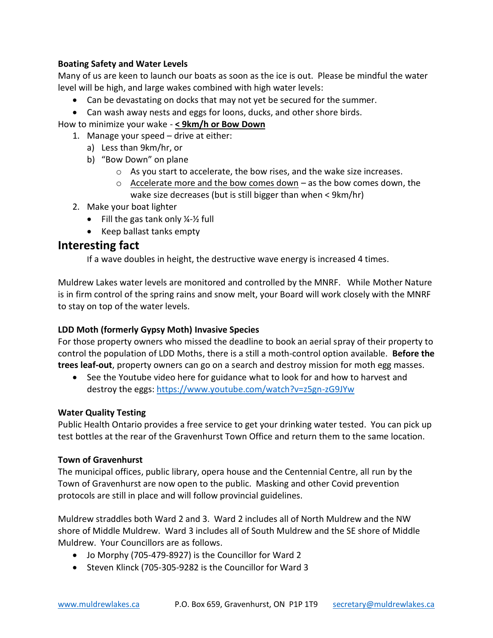## **Boating Safety and Water Levels**

Many of us are keen to launch our boats as soon as the ice is out. Please be mindful the water level will be high, and large wakes combined with high water levels:

- Can be devastating on docks that may not yet be secured for the summer.
- Can wash away nests and eggs for loons, ducks, and other shore birds.

How to minimize your wake - **< 9km/h or Bow Down**

- 1. Manage your speed drive at either:
	- a) Less than 9km/hr, or
	- b) "Bow Down" on plane
		- $\circ$  As you start to accelerate, the bow rises, and the wake size increases.
		- $\circ$  Accelerate more and the bow comes down as the bow comes down, the wake size decreases (but is still bigger than when < 9km/hr)
- 2. Make your boat lighter
	- Fill the gas tank only  $\frac{1}{2}$  full
	- Keep ballast tanks empty

# **Interesting fact**

If a wave doubles in height, the destructive wave energy is increased 4 times.

Muldrew Lakes water levels are monitored and controlled by the MNRF. While Mother Nature is in firm control of the spring rains and snow melt, your Board will work closely with the MNRF to stay on top of the water levels.

## **LDD Moth (formerly Gypsy Moth) Invasive Species**

For those property owners who missed the deadline to book an aerial spray of their property to control the population of LDD Moths, there is a still a moth-control option available. **Before the trees leaf-out**, property owners can go on a search and destroy mission for moth egg masses.

• See the Youtube video here for guidance what to look for and how to harvest and destroy the eggs[: https://www.youtube.com/watch?v=z5gn-zG9JYw](https://www.youtube.com/watch?v=z5gn-zG9JYw)

## **Water Quality Testing**

Public Health Ontario provides a free service to get your drinking water tested. You can pick up test bottles at the rear of the Gravenhurst Town Office and return them to the same location.

## **Town of Gravenhurst**

The municipal offices, public library, opera house and the Centennial Centre, all run by the Town of Gravenhurst are now open to the public. Masking and other Covid prevention protocols are still in place and will follow provincial guidelines.

Muldrew straddles both Ward 2 and 3. Ward 2 includes all of North Muldrew and the NW shore of Middle Muldrew. Ward 3 includes all of South Muldrew and the SE shore of Middle Muldrew. Your Councillors are as follows.

- Jo Morphy (705-479-8927) is the Councillor for Ward 2
- Steven Klinck (705-305-9282 is the Councillor for Ward 3